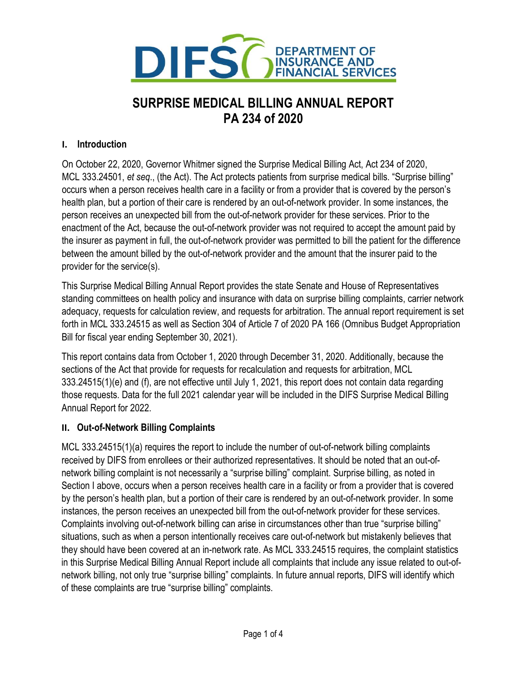

# SURPRISE MEDICAL BILLING ANNUAL REPORT PA 234 of 2020

# I. Introduction

 On October 22, 2020, Governor Whitmer signed the Surprise Medical Billing Act, Act 234 of 2020, MCL 333.24501, et seq., (the Act). The Act protects patients from surprise medical bills. "Surprise billing" occurs when a person receives health care in a facility or from a provider that is covered by the person's health plan, but a portion of their care is rendered by an out-of-network provider. In some instances, the person receives an unexpected bill from the out-of-network provider for these services. Prior to the enactment of the Act, because the out-of-network provider was not required to accept the amount paid by the insurer as payment in full, the out-of-network provider was permitted to bill the patient for the difference between the amount billed by the out-of-network provider and the amount that the insurer paid to the provider for the service(s).

 This Surprise Medical Billing Annual Report provides the state Senate and House of Representatives standing committees on health policy and insurance with data on surprise billing complaints, carrier network adequacy, requests for calculation review, and requests for arbitration. The annual report requirement is set forth in MCL 333.24515 as well as Section 304 of Article 7 of 2020 PA 166 (Omnibus Budget Appropriation Bill for fiscal year ending September 30, 2021).

 This report contains data from October 1, 2020 through December 31, 2020. Additionally, because the sections of the Act that provide for requests for recalculation and requests for arbitration, MCL 333.24515(1)(e) and (f), are not effective until July 1, 2021, this report does not contain data regarding those requests. Data for the full 2021 calendar year will be included in the DIFS Surprise Medical Billing Annual Report for 2022.

#### II. Out-of-Network Billing Complaints

 MCL 333.24515(1)(a) requires the report to include the number of out-of-network billing complaints received by DIFS from enrollees or their authorized representatives. It should be noted that an out-of- network billing complaint is not necessarily a "surprise billing" complaint. Surprise billing, as noted in Section I above, occurs when a person receives health care in a facility or from a provider that is covered by the person's health plan, but a portion of their care is rendered by an out-of-network provider. In some instances, the person receives an unexpected bill from the out-of-network provider for these services. Complaints involving out-of-network billing can arise in circumstances other than true "surprise billing" situations, such as when a person intentionally receives care out-of-network but mistakenly believes that they should have been covered at an in-network rate. As MCL 333.24515 requires, the complaint statistics in this Surprise Medical Billing Annual Report include all complaints that include any issue related to out-of- network billing, not only true "surprise billing" complaints. In future annual reports, DIFS will identify which of these complaints are true "surprise billing" complaints.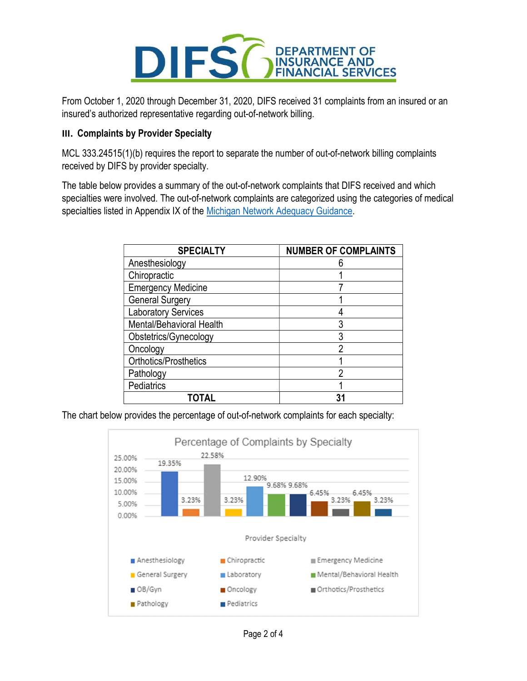

 From October 1, 2020 through December 31, 2020, DIFS received 31 complaints from an insured or an insured's authorized representative regarding out-of-network billing.

#### III. Complaints by Provider Specialty

 MCL 333.24515(1)(b) requires the report to separate the number of out-of-network billing complaints received by DIFS by provider specialty.

 The table below provides a summary of the out-of-network complaints that DIFS received and which specialties were involved. The out-of-network complaints are categorized using the categories of medical specialties listed in Appendix IX of the Michigan Network Adequacy Guidance.

| <b>SPECIALTY</b>           | <b>NUMBER OF COMPLAINTS</b> |  |
|----------------------------|-----------------------------|--|
| Anesthesiology             |                             |  |
| Chiropractic               |                             |  |
| <b>Emergency Medicine</b>  |                             |  |
| <b>General Surgery</b>     |                             |  |
| <b>Laboratory Services</b> |                             |  |
| Mental/Behavioral Health   | 3                           |  |
| Obstetrics/Gynecology      | 3                           |  |
| Oncology                   | າ                           |  |
| Orthotics/Prosthetics      |                             |  |
| Pathology                  | ŋ                           |  |
| Pediatrics                 |                             |  |
|                            | 31                          |  |

The chart below provides the percentage of out-of-network complaints for each specialty:

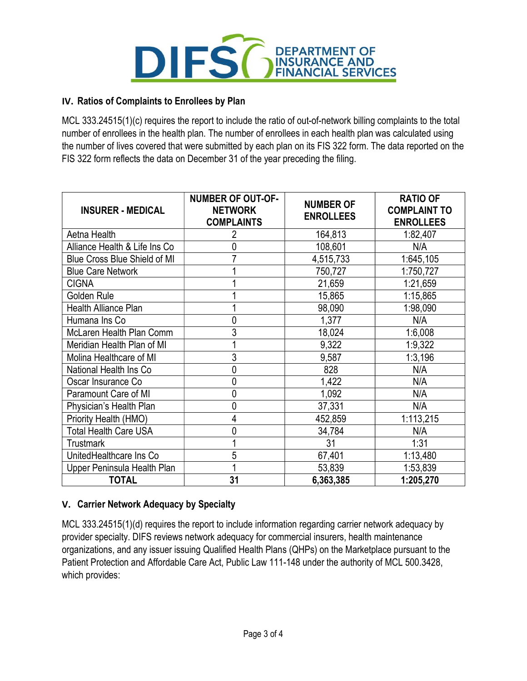

#### IV. Ratios of Complaints to Enrollees by Plan

 MCL 333.24515(1)(c) requires the report to include the ratio of out-of-network billing complaints to the total number of enrollees in the health plan. The number of enrollees in each health plan was calculated using the number of lives covered that were submitted by each plan on its FIS 322 form. The data reported on the FIS 322 form reflects the data on December 31 of the year preceding the filing.

| <b>INSURER - MEDICAL</b>      | <b>NUMBER OF OUT-OF-</b><br><b>NETWORK</b><br><b>COMPLAINTS</b> | <b>NUMBER OF</b><br><b>ENROLLEES</b> | <b>RATIO OF</b><br><b>COMPLAINT TO</b><br><b>ENROLLEES</b> |
|-------------------------------|-----------------------------------------------------------------|--------------------------------------|------------------------------------------------------------|
| Aetna Health                  |                                                                 | 164,813                              | 1:82,407                                                   |
| Alliance Health & Life Ins Co |                                                                 | 108,601                              | N/A                                                        |
| Blue Cross Blue Shield of MI  |                                                                 | 4,515,733                            | 1:645,105                                                  |
| <b>Blue Care Network</b>      |                                                                 | 750,727                              | 1:750,727                                                  |
| <b>CIGNA</b>                  |                                                                 | 21,659                               | 1:21,659                                                   |
| Golden Rule                   |                                                                 | 15,865                               | 1:15,865                                                   |
| Health Alliance Plan          |                                                                 | 98,090                               | 1:98,090                                                   |
| Humana Ins Co                 | 0                                                               | 1,377                                | N/A                                                        |
| McLaren Health Plan Comm      | 3                                                               | 18,024                               | 1:6,008                                                    |
| Meridian Health Plan of MI    |                                                                 | 9,322                                | 1:9,322                                                    |
| Molina Healthcare of MI       | 3                                                               | 9,587                                | 1:3,196                                                    |
| National Health Ins Co        | 0                                                               | 828                                  | N/A                                                        |
| Oscar Insurance Co            | 0                                                               | 1,422                                | N/A                                                        |
| Paramount Care of MI          | 0                                                               | 1,092                                | N/A                                                        |
| Physician's Health Plan       | 0                                                               | 37,331                               | N/A                                                        |
| Priority Health (HMO)         | 4                                                               | 452,859                              | 1:113,215                                                  |
| <b>Total Health Care USA</b>  | 0                                                               | 34,784                               | N/A                                                        |
| <b>Trustmark</b>              |                                                                 | 31                                   | 1:31                                                       |
| UnitedHealthcare Ins Co       | 5                                                               | 67,401                               | 1:13,480                                                   |
| Upper Peninsula Health Plan   |                                                                 | 53,839                               | 1:53,839                                                   |
| <b>TOTAL</b>                  | 31                                                              | 6,363,385                            | 1:205,270                                                  |

# V. Carrier Network Adequacy by Specialty

 MCL 333.24515(1)(d) requires the report to include information regarding carrier network adequacy by provider specialty. DIFS reviews network adequacy for commercial insurers, health maintenance organizations, and any issuer issuing Qualified Health Plans (QHPs) on the Marketplace pursuant to the Patient Protection and Affordable Care Act, Public Law 111-148 under the authority of MCL 500.3428, which provides: